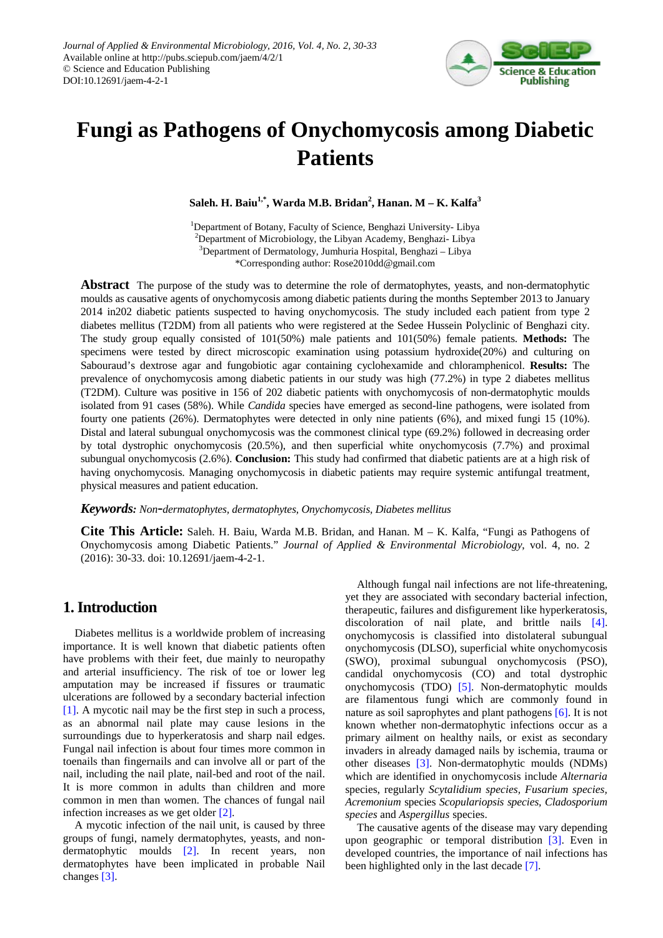

# **Fungi as Pathogens of Onychomycosis among Diabetic Patients**

**Saleh. H. Baiu1,\*, Warda M.B. Bridan2 , Hanan. M – K. Kalfa<sup>3</sup>**

<sup>1</sup>Department of Botany, Faculty of Science, Benghazi University- Libya <sup>2</sup>Department of Microbiology, the Libyan Academy, Benghazi- Libya 3 Department of Dermatology, Jumhuria Hospital, Benghazi – Libya \*Corresponding author: Rose2010dd@gmail.com

**Abstract** The purpose of the study was to determine the role of dermatophytes, yeasts, and non-dermatophytic moulds as causative agents of onychomycosis among diabetic patients during the months September 2013 to January 2014 in202 diabetic patients suspected to having onychomycosis. The study included each patient from type 2 diabetes mellitus (T2DM) from all patients who were registered at the Sedee Hussein Polyclinic of Benghazi city. The study group equally consisted of 101(50%) male patients and 101(50%) female patients. **Methods:** The specimens were tested by direct microscopic examination using potassium hydroxide(20%) and culturing on Sabouraud's dextrose agar and fungobiotic agar containing cyclohexamide and chloramphenicol. **Results:** The prevalence of onychomycosis among diabetic patients in our study was high (77.2%) in type 2 diabetes mellitus (T2DM). Culture was positive in 156 of 202 diabetic patients with onychomycosis of non-dermatophytic moulds isolated from 91 cases (58%). While *Candida* species have emerged as second-line pathogens, were isolated from fourty one patients (26%). Dermatophytes were detected in only nine patients (6%), and mixed fungi 15 (10%). Distal and lateral subungual onychomycosis was the commonest clinical type (69.2%) followed in decreasing order by total dystrophic onychomycosis (20.5%), and then superficial white onychomycosis (7.7%) and proximal subungual onychomycosis (2.6%). **Conclusion:** This study had confirmed that diabetic patients are at a high risk of having onychomycosis. Managing onychomycosis in diabetic patients may require systemic antifungal treatment, physical measures and patient education.

#### *Keywords: Non-dermatophytes, dermatophytes, Onychomycosis, Diabetes mellitus*

**Cite This Article:** Saleh. H. Baiu, Warda M.B. Bridan, and Hanan. M – K. Kalfa, "Fungi as Pathogens of Onychomycosis among Diabetic Patients." *Journal of Applied & Environmental Microbiology*, vol. 4, no. 2 (2016): 30-33. doi: 10.12691/jaem-4-2-1.

# **1. Introduction**

Diabetes mellitus is a worldwide problem of increasing importance. It is well known that diabetic patients often have problems with their feet, due mainly to neuropathy and arterial insufficiency. The risk of toe or lower leg amputation may be increased if fissures or traumatic ulcerations are followed by a secondary bacterial infection [\[1\].](#page-2-0) A mycotic nail may be the first step in such a process, as an abnormal nail plate may cause lesions in the surroundings due to hyperkeratosis and sharp nail edges. Fungal nail infection is about four times more common in toenails than fingernails and can involve all or part of the nail, including the nail plate, nail-bed and root of the nail. It is more common in adults than children and more common in men than women. The chances of fungal nail infection increases as we get olde[r \[2\].](#page-2-1)

A mycotic infection of the nail unit, is caused by three groups of fungi, namely dermatophytes, yeasts, and nondermatophytic moulds [\[2\].](#page-2-1) In recent years, non dermatophytes have been implicated in probable Nail changes [\[3\].](#page-2-2)

Although fungal nail infections are not life-threatening, yet they are associated with secondary bacterial infection, therapeutic, failures and disfigurement like hyperkeratosis, discoloration of nail plate, and brittle nails [\[4\].](#page-2-3) onychomycosis is classified into distolateral subungual onychomycosis (DLSO), superficial white onychomycosis (SWO), proximal subungual onychomycosis (PSO), candidal onychomycosis (CO) and total dystrophic onychomycosis (TDO) [\[5\].](#page-3-0) Non-dermatophytic moulds are filamentous fungi which are commonly found in nature as soil saprophytes and plant pathogens [\[6\].](#page-3-1) It is not known whether non-dermatophytic infections occur as a primary ailment on healthy nails, or exist as secondary invaders in already damaged nails by ischemia, trauma or other diseases [\[3\].](#page-2-2) Non-dermatophytic moulds (NDMs) which are identified in onychomycosis include *Alternaria*  species, regularly *Scytalidium species, Fusarium species, Acremonium* species *Scopulariopsis species, Cladosporium species* and *Aspergillus* species.

The causative agents of the disease may vary depending upon geographic or temporal distribution [\[3\].](#page-2-2) Even in developed countries, the importance of nail infections has been highlighted only in the last decad[e \[7\].](#page-3-2)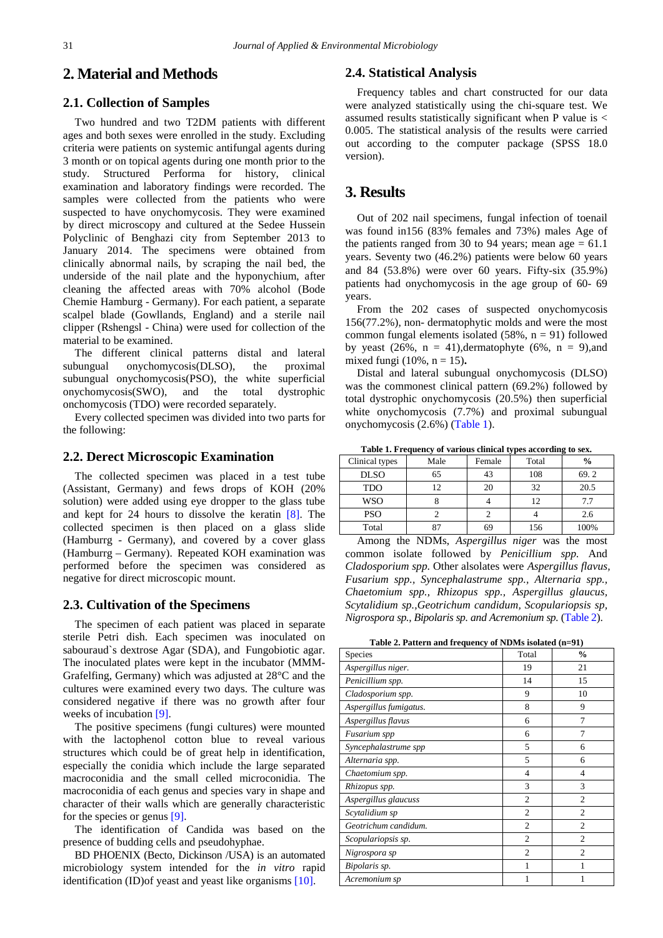## **2. Material and Methods**

## **2.1. Collection of Samples**

Two hundred and two T2DM patients with different ages and both sexes were enrolled in the study. Excluding criteria were patients on systemic antifungal agents during 3 month or on topical agents during one month prior to the study. Structured Performa for history, clinical examination and laboratory findings were recorded. The samples were collected from the patients who were suspected to have onychomycosis. They were examined by direct microscopy and cultured at the Sedee Hussein Polyclinic of Benghazi city from September 2013 to January 2014. The specimens were obtained from clinically abnormal nails, by scraping the nail bed, the underside of the nail plate and the hyponychium, after cleaning the affected areas with 70% alcohol (Bode Chemie Hamburg - Germany). For each patient, a separate scalpel blade (Gowllands, England) and a sterile nail clipper (Rshengsl - China) were used for collection of the material to be examined.

The different clinical patterns distal and lateral subungual onychomycosis(DLSO), the proximal subungual onychomycosis(PSO), the white superficial onychomycosis(SWO), and the total dystrophic onchomycosis (TDO) were recorded separately.

Every collected specimen was divided into two parts for the following:

## **2.2. Derect Microscopic Examination**

The collected specimen was placed in a test tube (Assistant, Germany) and fews drops of KOH (20% solution) were added using eye dropper to the glass tube and kept for 24 hours to dissolve the keratin [\[8\].](#page-3-3) The collected specimen is then placed on a glass slide (Hamburrg - Germany), and covered by a cover glass (Hamburrg – Germany). Repeated KOH examination was performed before the specimen was considered as negative for direct microscopic mount.

#### **2.3. Cultivation of the Specimens**

The specimen of each patient was placed in separate sterile Petri dish. Each specimen was inoculated on sabouraud`s dextrose Agar (SDA), and Fungobiotic agar. The inoculated plates were kept in the incubator (MMM-Grafelfing, Germany) which was adjusted at 28°C and the cultures were examined every two days. The culture was considered negative if there was no growth after four weeks of incubation [\[9\].](#page-3-4)

The positive specimens (fungi cultures) were mounted with the lactophenol cotton blue to reveal various structures which could be of great help in identification, especially the conidia which include the large separated macroconidia and the small celled microconidia. The macroconidia of each genus and species vary in shape and character of their walls which are generally characteristic for the species or genus [\[9\].](#page-3-4)

The identification of Candida was based on the presence of budding cells and pseudohyphae.

BD PHOENIX (Becto, Dickinson /USA) is an automated microbiology system intended for the *in vitro* rapid identification (ID)of yeast and yeast like organisms [\[10\].](#page-3-5)

## **2.4. Statistical Analysis**

Frequency tables and chart constructed for our data were analyzed statistically using the chi-square test. We assumed results statistically significant when P value is < 0.005. The statistical analysis of the results were carried out according to the computer package (SPSS 18.0 version).

## **3. Results**

Out of 202 nail specimens, fungal infection of toenail was found in156 (83% females and 73%) males Age of the patients ranged from 30 to 94 years; mean age  $= 61.1$ years. Seventy two (46.2%) patients were below 60 years and 84 (53.8%) were over 60 years. Fifty-six (35.9%) patients had onychomycosis in the age group of 60- 69 years.

From the 202 cases of suspected onychomycosis 156(77.2%), non- dermatophytic molds and were the most common fungal elements isolated  $(58\%, n = 91)$  followed by yeast (26%,  $n = 41$ ), dermatophyte (6%,  $n = 9$ ), and mixed fungi (10%, n = 15)**.**

Distal and lateral subungual onychomycosis (DLSO) was the commonest clinical pattern (69.2%) followed by total dystrophic onychomycosis (20.5%) then superficial white onychomycosis (7.7%) and proximal subungual onychomycosis (2.6%) [\(Table](#page-1-0) 1).

**Table 1. Frequency of various clinical types according to sex.**

<span id="page-1-0"></span>

| Clinical types | Male | Female | Total | $\frac{0}{0}$ |
|----------------|------|--------|-------|---------------|
| <b>DLSO</b>    | 65   | 43     | 108   | 69.2          |
| <b>TDO</b>     | 12   | 20     | 32    | 20.5          |
| <b>WSO</b>     |      |        | 12    | 77            |
| <b>PSO</b>     |      |        |       | 2.6           |
| Total          | 87   | 69     | 156   | 100%          |

Among the NDMs, *Aspergillus niger* was the most common isolate followed by *Penicillium spp.* And *Cladosporium spp.* Other alsolates were *Aspergillus flavus, Fusarium spp., Syncephalastrume spp., Alternaria spp., Chaetomium spp., Rhizopus spp., Aspergillus glaucus, Scytalidium sp.,Geotrichum candidum, Scopulariopsis sp, Nigrospora sp., Bipolaris sp. and Acremonium sp.* [\(Table 2\)](#page-1-1).

**Table 2. Pattern and frequency of NDMs isolated (n=91)**

<span id="page-1-1"></span>

| Species                | Total          | $\frac{0}{0}$  |
|------------------------|----------------|----------------|
| Aspergillus niger.     | 19             | 21             |
| Penicillium spp.       | 14             | 15             |
| Cladosporium spp.      | 9              | 10             |
| Aspergillus fumigatus. | 8              | 9              |
| Aspergillus flavus     | 6              | 7              |
| Fusarium spp           | 6              | 7              |
| Syncephalastrume spp   | 5              | 6              |
| Alternaria spp.        | 5              | 6              |
| Chaetomium spp.        | $\overline{4}$ | 4              |
| Rhizopus spp.          | 3              | 3              |
| Aspergillus glaucuss   | $\overline{c}$ | $\overline{c}$ |
| Scytalidium sp         | $\overline{c}$ | $\overline{c}$ |
| Geotrichum candidum.   | $\overline{c}$ | $\overline{c}$ |
| Scopulariopsis sp.     | $\overline{c}$ | $\overline{c}$ |
| Nigrospora sp          | $\overline{c}$ | $\mathfrak{D}$ |
| Bipolaris sp.          | 1              | 1              |
| Acremonium sp          | 1              | 1              |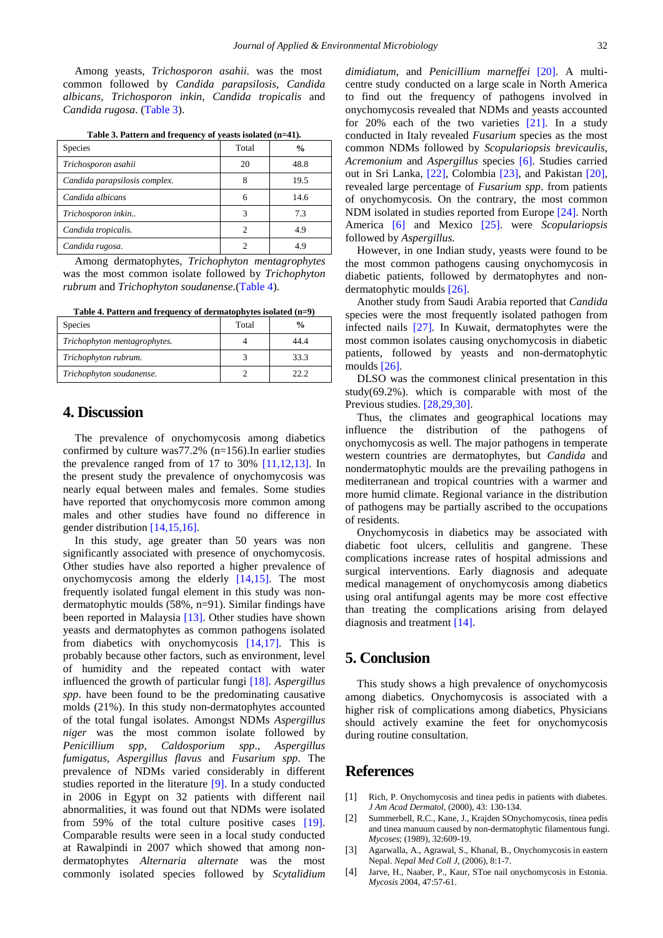Among yeasts, *Trichosporon asahii*. was the most common followed by *Candida parapsilosis, Candida albicans, Trichosporon inkin, Candida tropicalis* and *Candida rugosa*. [\(Table 3\)](#page-2-4).

| Table 3. Pattern and frequency of yeasts isolated (n=41). |  |
|-----------------------------------------------------------|--|
|-----------------------------------------------------------|--|

<span id="page-2-4"></span>

| <b>Species</b>                | Total | $\frac{0}{0}$ |
|-------------------------------|-------|---------------|
| Trichosporon asahii           | 20    | 48.8          |
| Candida parapsilosis complex. |       | 19.5          |
| Candida albicans              | 6     | 14.6          |
| Trichosporon inkin            | 3     | 7.3           |
| Candida tropicalis.           |       | 4.9           |
| Candida rugosa.               | 2     | 4.9           |

Among dermatophytes, *Trichophyton mentagrophytes* was the most common isolate followed by *Trichophyton rubrum* and *Trichophyton soudanense.*[\(Table 4\)](#page-2-5).

**Table 4. Pattern and frequency of dermatophytes isolated (n=9)**

<span id="page-2-5"></span>

| <b>Species</b>               | Total | $\frac{0}{0}$ |
|------------------------------|-------|---------------|
| Trichophyton mentagrophytes. |       | 44.4          |
| Trichophyton rubrum.         |       | 33.3          |
| Trichophyton soudanense.     |       | 22 Z          |

# **4. Discussion**

The prevalence of onychomycosis among diabetics confirmed by culture was77.2% (n=156).In earlier studies the prevalence ranged from of 17 to 30% [\[11,12,13\].](#page-3-6) In the present study the prevalence of onychomycosis was nearly equal between males and females. Some studies have reported that onychomycosis more common among males and other studies have found no difference in gender distribution [\[14,15,16\].](#page-3-7)

In this study, age greater than 50 years was non significantly associated with presence of onychomycosis. Other studies have also reported a higher prevalence of onychomycosis among the elderly [\[14,15\].](#page-3-7) The most frequently isolated fungal element in this study was nondermatophytic moulds (58%, n=91). Similar findings have been reported in Malaysia [\[13\].](#page-3-8) Other studies have shown yeasts and dermatophytes as common pathogens isolated from diabetics with onychomycosis [\[14,17\].](#page-3-7) This is probably because other factors, such as environment, level of humidity and the repeated contact with water influenced the growth of particular fungi [\[18\].](#page-3-9) *Aspergillus spp*. have been found to be the predominating causative molds (21%). In this study non-dermatophytes accounted of the total fungal isolates. Amongst NDMs *Aspergillus niger* was the most common isolate followed by *Penicillium spp*, *Caldosporium spp*., *Aspergillus fumigatus*, *Aspergillus flavus* and *Fusarium spp*. The prevalence of NDMs varied considerably in different studies reported in the literature [\[9\].](#page-3-4) In a study conducted in 2006 in Egypt on 32 patients with different nail abnormalities, it was found out that NDMs were isolated from 59% of the total culture positive cases [\[19\].](#page-3-10) Comparable results were seen in a local study conducted at Rawalpindi in 2007 which showed that among nondermatophytes *Alternaria alternate* was the most commonly isolated species followed by *Scytalidium* 

*dimidiatum*, and *Penicillium marneffei* [\[20\].](#page-3-11) A multicentre study conducted on a large scale in North America to find out the frequency of pathogens involved in onychomycosis revealed that NDMs and yeasts accounted for 20% each of the two varieties [\[21\].](#page-3-12) In a study conducted in Italy revealed *Fusarium* species as the most common NDMs followed by *Scopulariopsis brevicaulis*, *Acremonium* and *Aspergillus* species [\[6\].](#page-3-1) Studies carried out in Sri Lanka, [\[22\],](#page-3-13) Colombia [\[23\],](#page-3-14) and Pakistan [\[20\],](#page-3-11) revealed large percentage of *Fusarium spp*. from patients of onychomycosis. On the contrary, the most common NDM isolated in studies reported from Europe [\[24\].](#page-3-15) North America [\[6\]](#page-3-1) and Mexico [\[25\].](#page-3-16) were *Scopulariopsis*  followed by *Aspergillus.*

However, in one Indian study, yeasts were found to be the most common pathogens causing onychomycosis in diabetic patients, followed by dermatophytes and nondermatophytic moulds [\[26\].](#page-3-17)

Another study from Saudi Arabia reported that *Candida* species were the most frequently isolated pathogen from infected nails [\[27\].](#page-3-18) In Kuwait, dermatophytes were the most common isolates causing onychomycosis in diabetic patients, followed by yeasts and non-dermatophytic moulds [\[26\].](#page-3-17)

DLSO was the commonest clinical presentation in this study( $69.2\%$ ). which is comparable with most of the Previous studies. [\[28,29,30\].](#page-3-19)

Thus, the climates and geographical locations may influence the distribution of the pathogens of onychomycosis as well. The major pathogens in temperate western countries are dermatophytes, but *Candida* and nondermatophytic moulds are the prevailing pathogens in mediterranean and tropical countries with a warmer and more humid climate. Regional variance in the distribution of pathogens may be partially ascribed to the occupations of residents.

Onychomycosis in diabetics may be associated with diabetic foot ulcers, cellulitis and gangrene. These complications increase rates of hospital admissions and surgical interventions. Early diagnosis and adequate medical management of onychomycosis among diabetics using oral antifungal agents may be more cost effective than treating the complications arising from delayed diagnosis and treatmen[t \[14\].](#page-3-7)

## **5. Conclusion**

This study shows a high prevalence of onychomycosis among diabetics. Onychomycosis is associated with a higher risk of complications among diabetics, Physicians should actively examine the feet for onychomycosis during routine consultation.

## **References**

- <span id="page-2-0"></span>[1] Rich, P. Onychomycosis and tinea pedis in patients with diabetes. *J Am Acad Dermatol*, (2000), 43: 130-134.
- <span id="page-2-1"></span>[2] Summerbell, R.C., Kane, J., Krajden SOnychomycosis, tinea pedis and tinea manuum caused by non-dermatophytic filamentous fungi. *Mycoses*; (1989), 32:609-19.
- <span id="page-2-2"></span>[3] Agarwalla, A., Agrawal, S., Khanal, B., Onychomycosis in eastern Nepal. *Nepal Med Coll J*, (2006), 8:1-7.
- <span id="page-2-3"></span>[4] Jarve, H., Naaber, P., Kaur, SToe nail onychomycosis in Estonia. *Mycosis* 2004, 47:57-61.